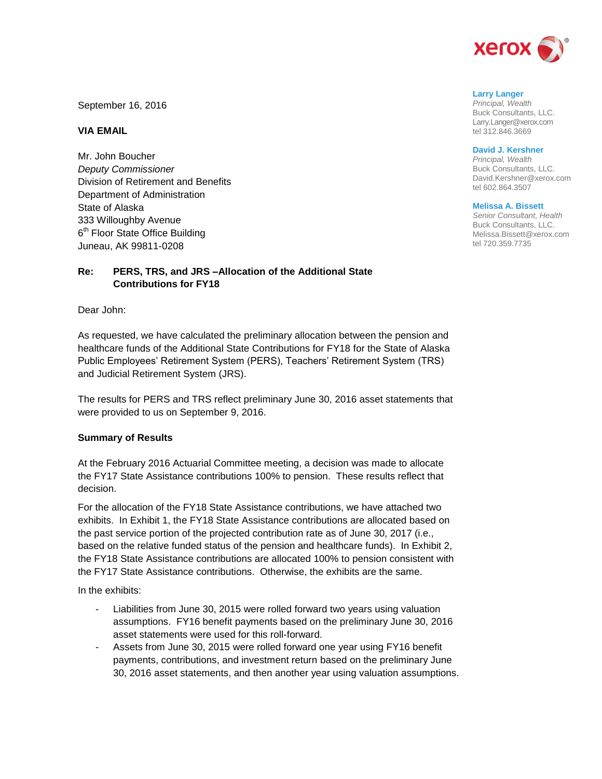

September 16, 2016

## **VIA EMAIL**

Mr. John Boucher *Deputy Commissioner* Division of Retirement and Benefits Department of Administration State of Alaska 333 Willoughby Avenue 6<sup>th</sup> Floor State Office Building Juneau, AK 99811-0208

## **Re: PERS, TRS, and JRS –Allocation of the Additional State Contributions for FY18**

Dear John:

As requested, we have calculated the preliminary allocation between the pension and healthcare funds of the Additional State Contributions for FY18 for the State of Alaska Public Employees' Retirement System (PERS), Teachers' Retirement System (TRS) and Judicial Retirement System (JRS).

The results for PERS and TRS reflect preliminary June 30, 2016 asset statements that were provided to us on September 9, 2016.

### **Summary of Results**

At the February 2016 Actuarial Committee meeting, a decision was made to allocate the FY17 State Assistance contributions 100% to pension. These results reflect that decision.

For the allocation of the FY18 State Assistance contributions, we have attached two exhibits. In Exhibit 1, the FY18 State Assistance contributions are allocated based on the past service portion of the projected contribution rate as of June 30, 2017 (i.e., based on the relative funded status of the pension and healthcare funds). In Exhibit 2, the FY18 State Assistance contributions are allocated 100% to pension consistent with the FY17 State Assistance contributions. Otherwise, the exhibits are the same.

In the exhibits:

- Liabilities from June 30, 2015 were rolled forward two years using valuation assumptions. FY16 benefit payments based on the preliminary June 30, 2016 asset statements were used for this roll-forward.
- Assets from June 30, 2015 were rolled forward one year using FY16 benefit payments, contributions, and investment return based on the preliminary June 30, 2016 asset statements, and then another year using valuation assumptions.

### **Larry Langer**

*Principal, Wealth* Buck Consultants, LLC. Larry.Langer@xerox.com tel 312.846.3669

#### **David J. Kershner**

*Principal, Wealth* Buck Consultants, LLC. David.Kershner@xerox.com tel 602.864.3507

#### **Melissa A. Bissett**

*Senior Consultant, Health* Buck Consultants, LLC. Melissa.Bissett@xerox.com tel 720.359.7735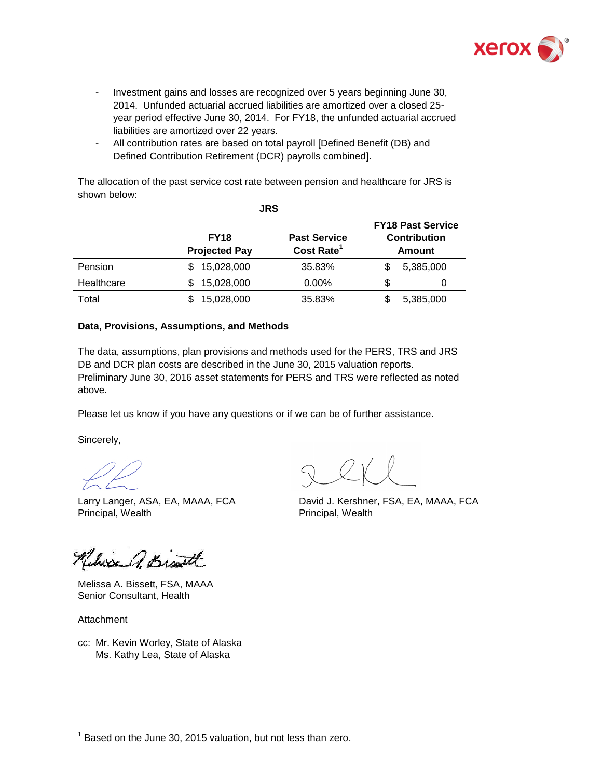

- Investment gains and losses are recognized over 5 years beginning June 30, 2014. Unfunded actuarial accrued liabilities are amortized over a closed 25 year period effective June 30, 2014. For FY18, the unfunded actuarial accrued liabilities are amortized over 22 years.
- All contribution rates are based on total payroll [Defined Benefit (DB) and Defined Contribution Retirement (DCR) payrolls combined].

The allocation of the past service cost rate between pension and healthcare for JRS is shown below:

| <b>JRS</b> |                                     |                                               |                                                           |   |  |
|------------|-------------------------------------|-----------------------------------------------|-----------------------------------------------------------|---|--|
|            | <b>FY18</b><br><b>Projected Pay</b> | <b>Past Service</b><br>Cost Rate <sup>1</sup> | <b>FY18 Past Service</b><br><b>Contribution</b><br>Amount |   |  |
| Pension    | 15,028,000<br>S.                    | 35.83%                                        | 5,385,000                                                 |   |  |
| Healthcare | 15,028,000<br>S                     | $0.00\%$                                      | \$                                                        | 0 |  |
| Total      | 15,028,000                          | 35.83%                                        | 5,385,000                                                 |   |  |

## **Data, Provisions, Assumptions, and Methods**

The data, assumptions, plan provisions and methods used for the PERS, TRS and JRS DB and DCR plan costs are described in the June 30, 2015 valuation reports. Preliminary June 30, 2016 asset statements for PERS and TRS were reflected as noted above.

Please let us know if you have any questions or if we can be of further assistance.

Sincerely,

Larry Langer, ASA, EA, MAAA, FCA Principal, Wealth **Principal**, Wealth

Nelisse a Bist

Melissa A. Bissett, FSA, MAAA Senior Consultant, Health

Attachment

l

cc: Mr. Kevin Worley, State of Alaska Ms. Kathy Lea, State of Alaska

David J. Kershner, FSA, EA, MAAA, FCA

 $1$  Based on the June 30, 2015 valuation, but not less than zero.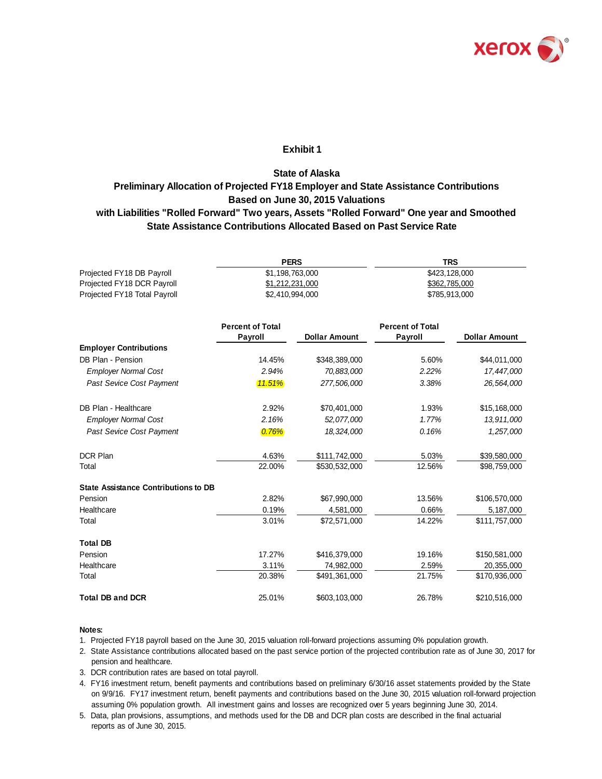

## **Exhibit 1**

# **State Assistance Contributions Allocated Based on Past Service Rate State of Alaska Preliminary Allocation of Projected FY18 Employer and State Assistance Contributions Based on June 30, 2015 Valuations with Liabilities "Rolled Forward" Two years, Assets "Rolled Forward" One year and Smoothed**

|                              | <b>PERS</b>     | TRS           |
|------------------------------|-----------------|---------------|
| Projected FY18 DB Payroll    | \$1.198.763.000 | \$423,128,000 |
| Projected FY18 DCR Payroll   | \$1,212,231,000 | \$362,785,000 |
| Projected FY18 Total Payroll | \$2,410,994,000 | \$785,913,000 |

|                                             | <b>Percent of Total</b><br>Payroll | <b>Dollar Amount</b> | <b>Percent of Total</b><br>Payroll | <b>Dollar Amount</b> |
|---------------------------------------------|------------------------------------|----------------------|------------------------------------|----------------------|
| <b>Employer Contributions</b>               |                                    |                      |                                    |                      |
| DB Plan - Pension                           | 14.45%                             | \$348,389,000        | 5.60%                              | \$44,011,000         |
| <b>Employer Normal Cost</b>                 | 2.94%                              | 70,883,000           | 2.22%                              | 17,447,000           |
| Past Sevice Cost Payment                    | 11.51%                             | 277,506,000          | 3.38%                              | 26,564,000           |
| DB Plan - Healthcare                        | 2.92%                              | \$70,401,000         | 1.93%                              | \$15,168,000         |
| <b>Employer Normal Cost</b>                 | 2.16%                              | 52,077,000           | 1.77%                              | 13,911,000           |
| Past Sevice Cost Payment                    | 0.76%                              | 18,324,000           | 0.16%                              | 1,257,000            |
| <b>DCR Plan</b>                             | 4.63%                              | \$111,742,000        | 5.03%                              | \$39,580,000         |
| Total                                       | 22.00%                             | \$530,532,000        | 12.56%                             | \$98,759,000         |
| <b>State Assistance Contributions to DB</b> |                                    |                      |                                    |                      |
| Pension                                     | 2.82%                              | \$67,990,000         | 13.56%                             | \$106,570,000        |
| Healthcare                                  | 0.19%                              | 4,581,000            | 0.66%                              | 5,187,000            |
| Total                                       | 3.01%                              | \$72,571,000         | 14.22%                             | \$111,757,000        |
| <b>Total DB</b>                             |                                    |                      |                                    |                      |
| Pension                                     | 17.27%                             | \$416,379,000        | 19.16%                             | \$150,581,000        |
| Healthcare                                  | 3.11%                              | 74,982,000           | 2.59%                              | 20,355,000           |
| Total                                       | 20.38%                             | \$491,361,000        | 21.75%                             | \$170,936,000        |
| <b>Total DB and DCR</b>                     | 25.01%                             | \$603,103,000        | 26.78%                             | \$210,516,000        |

#### **Notes:**

1. Projected FY18 payroll based on the June 30, 2015 valuation roll-forward projections assuming 0% population growth.

- 2. State Assistance contributions allocated based on the past service portion of the projected contribution rate as of June 30, 2017 for pension and healthcare.
- 3. DCR contribution rates are based on total payroll.
- 4. FY16 investment return, benefit payments and contributions based on preliminary 6/30/16 asset statements provided by the State on 9/9/16. FY17 investment return, benefit payments and contributions based on the June 30, 2015 valuation roll-forward projection assuming 0% population growth. All investment gains and losses are recognized over 5 years beginning June 30, 2014.
- reports as of June 30, 2015. 5. Data, plan provisions, assumptions, and methods used for the DB and DCR plan costs are described in the final actuarial